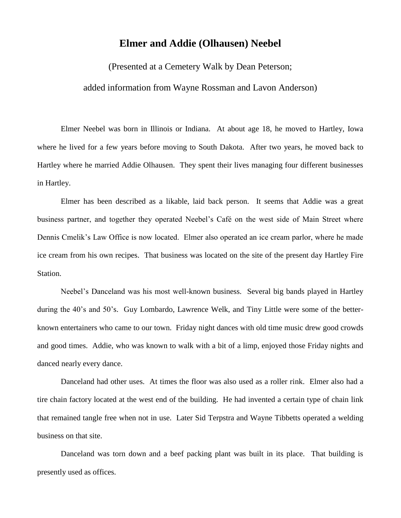## **Elmer and Addie (Olhausen) Neebel**

(Presented at a Cemetery Walk by Dean Peterson;

## added information from Wayne Rossman and Lavon Anderson)

Elmer Neebel was born in Illinois or Indiana. At about age 18, he moved to Hartley, Iowa where he lived for a few years before moving to South Dakota. After two years, he moved back to Hartley where he married Addie Olhausen. They spent their lives managing four different businesses in Hartley.

Elmer has been described as a likable, laid back person. It seems that Addie was a great business partner, and together they operated Neebel's Café on the west side of Main Street where Dennis Cmelik's Law Office is now located. Elmer also operated an ice cream parlor, where he made ice cream from his own recipes. That business was located on the site of the present day Hartley Fire Station.

Neebel's Danceland was his most well-known business. Several big bands played in Hartley during the 40's and 50's. Guy Lombardo, Lawrence Welk, and Tiny Little were some of the betterknown entertainers who came to our town. Friday night dances with old time music drew good crowds and good times. Addie, who was known to walk with a bit of a limp, enjoyed those Friday nights and danced nearly every dance.

Danceland had other uses. At times the floor was also used as a roller rink. Elmer also had a tire chain factory located at the west end of the building. He had invented a certain type of chain link that remained tangle free when not in use. Later Sid Terpstra and Wayne Tibbetts operated a welding business on that site.

Danceland was torn down and a beef packing plant was built in its place. That building is presently used as offices.